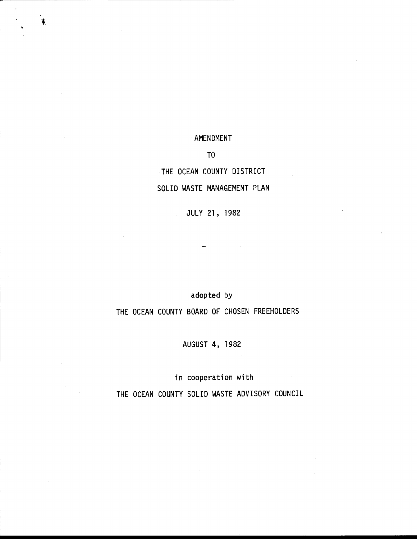# AMENDMENT

I

1

TO

# THE OCEAN COUNTY DISTRICT

# SOLID WASTE MANAGEMENT PLAN

JULY 21, 1982

# adopted by

# THE OCEAN COUNTY BOARD OF CHOSEN FREEHOLDERS

AUGUST 4, <sup>1982</sup>

in cooperation with

THE OCEAN COUNTY SOLID WASTE ADVISORY COUNCIL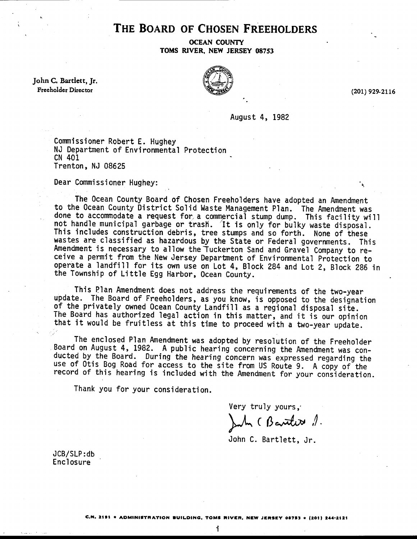# THE BOARD OF CHOSEN FREEHOLDERS

OCEAN COUNTY TOMS RIVER, NEW JERSEY 08753

John C. Bartlett, Jr. Freeholder Director



(201) 929-2116

August 4, <sup>1982</sup>

Commissioner Robert E. Hughey NJ Department of Environmental Protection cN 401 Trenton, NJ 08625

Dear Commissioner Hughey:

The Ocean County Board of Chosen Freeholders have adopted an Amendment to the Ocean County District Solid }'laste Management P'lan. 'The Amendment was done to accommodate a request for a commercial stump dump. This facility will<br>not handle municipal garbage or trash. It is only for bulky waste disposal.<br>This includes construction debris, tree stumps and so forth. None of wastes are classified as hazardous by the State or Federal governments. This Amendment is necessary to allow the Tuckerton Sand and Gravel Company to re- ceive a permit from the New Jersey Department of Environmental Protection to operate a]andfill for its own use on Lot 4, Block 284 and Lot 2, Block 286 in the Township of Little Egg Harbor, 0cean County.

This Plan Amendment does not address the requirements of the two-year update. The Board of Freeholders, as you know, is opposed to the designation of the privately owned Ocean County Landfill as a regional disposal site.<br>The Board has authorized legal action in this matter, and it is our opinion that it would be fruitless at this time to proceed with a two-year update.

The enclosed Plan Amendment was adopted by resolution of the Freeholder<br>Board on August 4, 1982. A public hearing concerning the Amendment was con-<br>ducted by the Board. During the hearing concern was expressed regarding th use of Otis Bog Road for access to the site from US Route 9. A copy of the record of this hearing is included with the Amendment for your consideration.

Thank you for your consideration.

Very truly yours,

 $\mathcal{L}_{\mathcal{M}} \in \mathcal{B}$  anthrow  $\mathcal{J}_{\mathcal{M}}$ 

John C. Bartlett, Jr.

JCB/SLP: db **Enclosure** 

i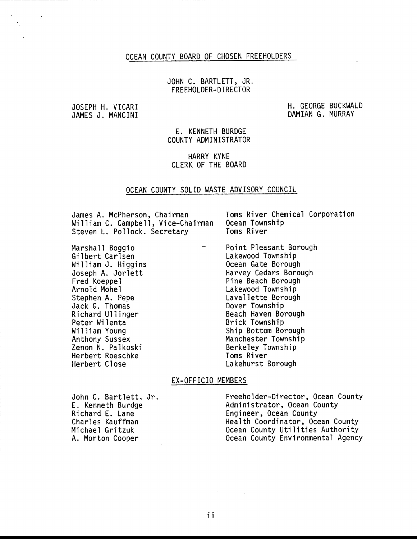## OCEAN COUNTY BOARD OF CHOSEN FREEHOLDERS

# JOHN C. BARTLETT, JR. FREEHOLDER- D I RECTOR

JOSEPH H. VICARI JAMES J. MANCINI H. GEORGE BUCKWALD DAMIAN G. MURRAY

E. KENNETH BURDGE COUNTY ADMINISTRATOR

HARRY KYNE CLERK OF THE BOARD

#### OCEAN COUNTY SOLID WASTE ADVISORY COUNCIL

James A. McPherson, Chairman<br>William C. Campbell, Vice-Chairman Ocean Township William C. Campbell, Vice-Chairman Ocean Town<br>Steven L. Pollock. Secretary Toms River Steven L. Pollock. Secretary

Marshall Boggio Gi lbert Carlsen William J. Higgins Joseph A. Jorlett Fred Koeppel Arnold Mohel Stephen A. Pepe Jack G. Thomas Richard U1 linger Peter Wilenta William Young Anthony Sussex Zenon N. Palkoski Herbert Roeschke Herbert Close

Point Pleasant Borough Lakewood Township 0cean Gate Borough Harvey Cedars Borough Pine Beach Borough Lakewood Township Laval lette Borough Dover Township Beach Haven Borough Brick Township Ship Bottom Borough Manchester Township Berkeley Township Toms River Lakehurst Borough

### EX-OFFICIO MEMBERS

John C. Bartlett, Jr. E. Kenneth Burdge Richard E. Lane Charles Kauffman Michael Gritzuk A. Morton Cooper

Freeholder-Director, Ocean County Administrator, Ocean County Engineer, Ocean County Health Coordinator, Ocean County Ocean County Utilities Authority 0cean County Environmental Agency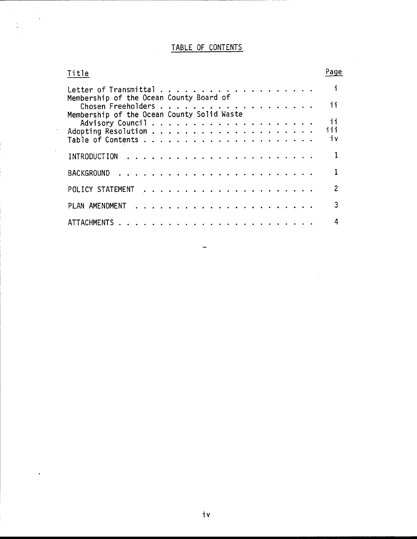# TABLE OF CONTENTS

 $\mathcal{A}$ 

 $\bar{\beta}$ 

| Title                                      | Page          |
|--------------------------------------------|---------------|
|                                            | $\mathbf{i}$  |
| Membership of the Ocean County Board of    | 11            |
| Membership of the Ocean County Solid Waste |               |
|                                            | $\mathbf{ii}$ |
|                                            | iii           |
|                                            | iv            |
|                                            |               |
|                                            |               |
|                                            | 2             |
|                                            | 3             |
|                                            | 4             |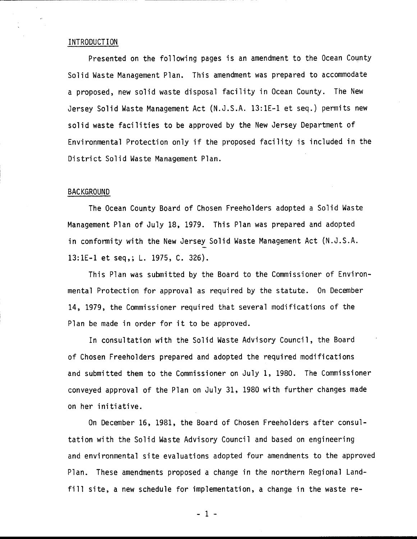### INTRODUCTION

Presented on the following pages is an amendment to the 0cean County Solid Waste Management Plan. This amendment was prepared to accommodate a proposed, new solid waste disposal facility in 0cean County. The New Jersey Solid Waste Management Act (N.J.S.A. 13:1E-1 et seq.) permits new solid waste facilities to be approved by the New Jersey Department of Environmental Protection only if the proposed facility is included in the District Solid Waste Management Plan.

#### **BACKGROUND**

The Ocean County Board of Chosen Freeholders adopted a Solid Waste Management Plan of July 18, L979. This Plan was prepared and adopted in conformity with the New Jersey Solid Waste Management Act (N.J.S.A. 13:1E-L et seq,i L. 1975, C. 326).

This Plan was submitted by the Board to the Commissioner of Environmental Protection for approval as required by the statute. 0n December 14, L979, the Commissioner required that several modifications of the Plan be made in order for it to be approved.

In consultation with the Solid Waste Advisory Council, the Board of Chosen Freeholders prepared and adopted the required modifications and submitted them to the Commissioner on July 1, 1980. The Commissioner conveyed approval of the Plan on July 31, 1980 with further changes made on her initiative.

0n December 16, 1981, the Board of Chosen Freeholders after consultation with the Solid Waste Advisory Council and based on engineering and environmental site evaluations adopted four amendments to the approved Plan. These amendments proposed a change in the northern Regional Landfill site, a new schedule for implementation, a change in the waste re-

-1-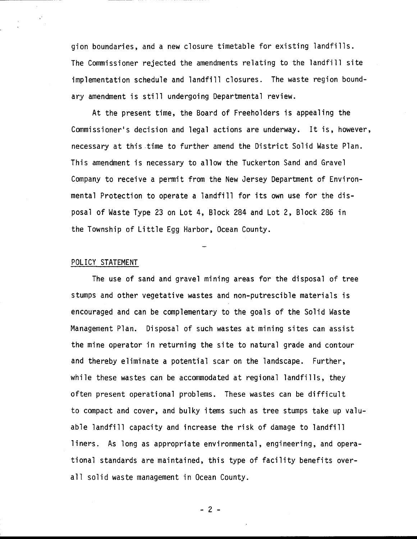gion boundaries, and a new c'losure timetable for existing 1andfi11s. The Commissioner rejected the amendments relating to the landfill site implementation schedule and landfill closures. The waste region boundary amendment is still undergoing Departmental review.

At the present time, the Board of Freeholders is appealing the Commissioner's decision and legal actions are underway. It is, however, necessary at this time to further amend the District Solid Waste Plan. This amendment is necessary to allow the Tuckerton Sand and Gravel Company to receive a permit from the New Jersey Department of Environmental Protection to operate a1andfill for its own use for the disposal of Waste Type 23 on Lot 4, Block 284 and Lot 2, Block 286 in the Township of Little Egg Harbor, 0cean County.

### POLICY STATEMENT

The use of sand and gravel mining areas for the disposal of tree stumps and other vegetative wastes and non-putrescible materials is encouraged and can be complementary to the goals of the Solid Waste Management Plan. Disposal of such wastes at m'ining sites can assist the mine operator in returning the site to natural grade and contour and thereby eliminate a potential scar on the landscape. Further, while these wastes can be accommodated at regional landfills, they often present operational problems. These wastes can be difficult to compact and cover, and bulky items such as tree stumps take up valuable landfill capacity and increase the risk of damage to landfill liners. As long as appropriate environmental, engineering, and operational standards are maintained, this type of facility benefits overall solid waste management in 0cean County.

-2-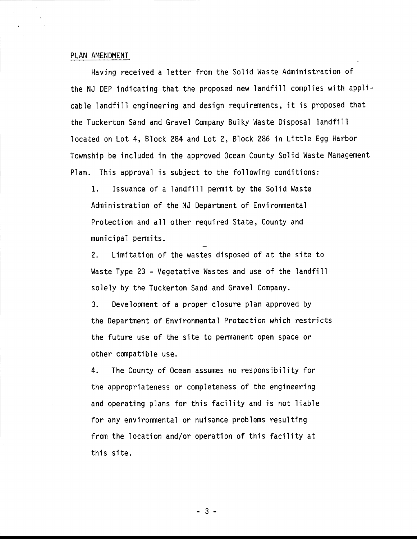#### PLAN AMENDMENT

Having received a letter from the Solid Waste Administration of the NJ DEP indicating that the proposed new landfill complies with applicable landfill engineering and design requirements, it is proposed that the Tuckerton Sand and Gravel Company Bulky Waste Disposal landfill located on Lot 4, Block 284 and Lot 2, Block 286 in Little Egg Harbor Township be included in the approved Ocean County Solid Waste Management Plan. This approval is subject to the following conditions:

1. Issuance of a landfill permit by the Solid Waste Administration of the NJ Department of Environmental Protection and all other required State, County and municipal permits.

2. Limitation of the wastes disposed of at the site to Waste Type 23 - Vegetative Wastes and use of the landfill solely by the Tuckerton Sand and Gravel Company.

3. Development of a proper closure plan approved by the Department of Environmental Protection which restricts the future use of the site to permanent open space or other compatible use.

4. The County of 0cean assumes no responsibility for the appropriateness or completeness of the engineering and operating plans for this facility and is not liable for any environmental or nuisance problems resulting from the location and/or operation of this facility at this site.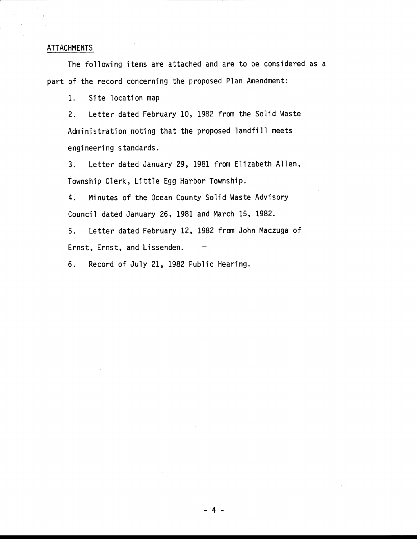# ATTACHMENTS

The following items are attached and are to be considered as <sup>a</sup> part of the record concern'ing the proposed Plan Amendment:

1. Site location map

2. Letter dated February 10, 1982 from the Solid Waste Administration noting that the proposed landfill meets engineering standards.

3. Letter dated January 29, 1981 from Elizabeth A1]en, Township C1erk, Little Egg Harbor Township.

4. Minutes of the 0cean County Solid Waste Advisory Council dated January 26, 1981 and March 15, 1982.

5. Letter dated February 12, 1982 from John Maczuga of Ernst, Ernst, and Lissenden.

6. Record of July 21, 1982 Public Hearing.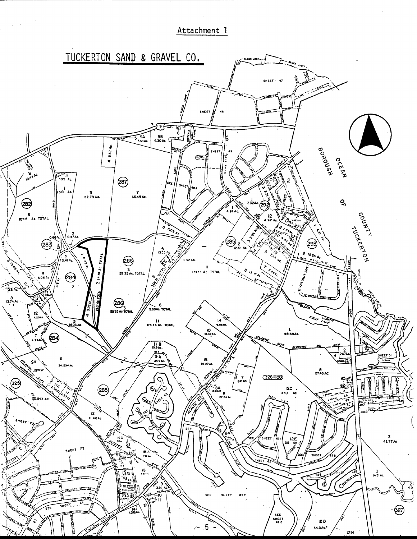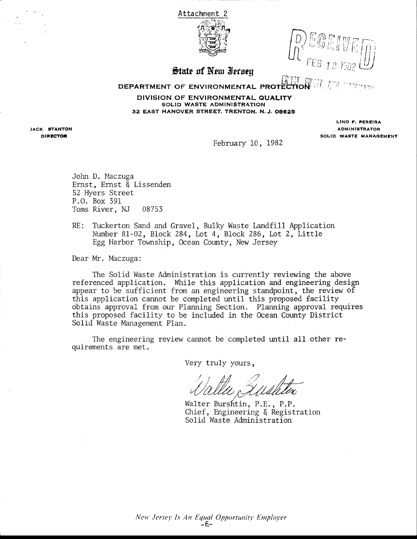

State of New Ierseu

# DEPARTMENT OF ENVIRONMENTAL PROTECTION AT A

DIVISION OF ENVIRONMENTAL QUALITY SOLID WASTE ADMINISTRATION 32 EAST HANOVER STREET, TRENTON, N.J. 08625

**JACK STANTON DIRECTOR** 

#### LINO F. PEREIRA **ADMINISTRATOR** SOLID WASTE MANAGEMENT

February 10, 1982

John D. Maczuga Ernst, Ernst & Lissenden 52 Hyers Street P.O. Box 391 Toms River, NJ 08753

 $RE:$ Tuckerton Sand and Gravel, Bulky Waste Landfill Application Number 81-02, Block 284, Lot 4, Block 286, Lot 2, Little Egg Harbor Township, Ocean County, New Jersey

Dear Mr. Maczuga:

The Solid Waste Administration is currently reviewing the above referenced application. While this application and engineering design appear to be sufficient from an engineering standpoint, the review of this application cannot be completed until this proposed facility obtains approval from our Planning Section. Planning approval requires this proposed facility to be included in the Ocean County District Solid Waste Management Plan.

The engineering review cannot be completed until all other requirements are met.

Very truly yours,

Walter Burshtin, P.E., P.P. Chief, Engineering & Registration Solid Waste Administration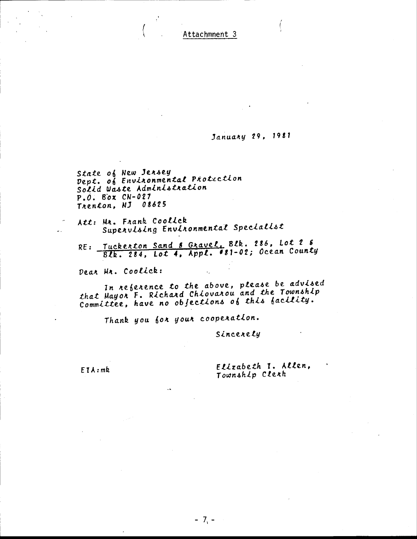# January 29, 1981

State of New Jersey<br>Dept. of Environmental Protection Solid Waste Administration  $P.0.$  Box  $CN-027$ Trenton, NJ 08625

Att: Mr. Frank Coolick Supervising Environmental Specialist

RE: Tuckerton Sand & Gravel, Blk. 286, Lot 2 6 Blk. 284, Lot 4, Appl. 481-02; Ocean County

Dear Mr. Coolick:

In reference to the above, please be advised that Mayon F. Richard Chiovarou and the Township Committée, have no objections of this facility.

Thank you for your cooperation.

Sincerely

 $EIA:mk$ 

Elizabeth I. Allen, Township Clerk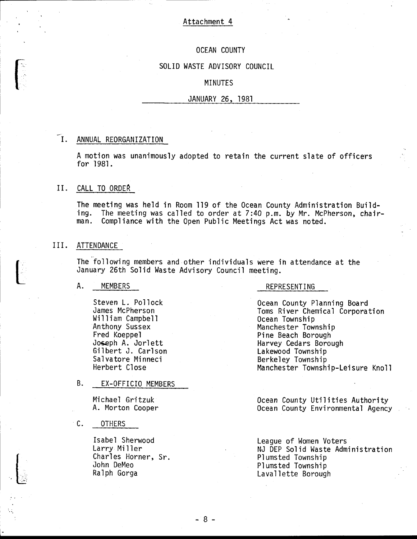# OCEAN COUNTY

### SOLID WASTE ADVISORY COUNCIL

# MINUTES

#### JANUARY 26, 1981

#### $\mathbf{I}$ . ANNUAL REORGANIZATION

A motion was unanimously adopted to retain the current slate of officers for 1981.

# II. CALL TO ORDER

The meeting was held in Room 119 of the Ocean County Administration Build-<br>ing. The meeting was called to order at 7:40 p.m. by Mr. McPherson, chair-<br>man. Compliance with the Open Public Meetings Act was noted. Compliance with the Open Public Meetings Act was noted.

#### III. ATTENDANCE

 $\left(\begin{array}{c} 1 \\ 1 \end{array}\right)$ 

,

The following members and other individuals were ih attendance at the January 26th Solid Waste Advisory Council meeting.

#### A. MEMBERS REPRESENTING

Steven L. Pollock James McPherson William Campbell Anthony Sussex Fred Koeppel Joseph A. Jorlett Gilbert J. Carlson Salvatore Minneci Herbert Close

# B. EX-OFFICIO MEMBERS

Michael Gritzuk A. Morton Cooper

C. OTHERS

Isabel Sherwood Larry Mi <sup>I</sup>ler Charles Horner, Sr. John DeMeo Ralph Gorga

0cean County Planning Board Toms River Chemical Corporatfon 0cean Township Manchester Township Pine Beach Borough Harvey Cedars Borough Lakewood Township Berkeley Township Manchester Township-Leisure Knoll

Ocean County Utilities Authority Ocean County Environmental Agency

League of Women Voters NJ DEP Solid Waste Administration Pl umsted Township Pl umsted Township Laval lette Borough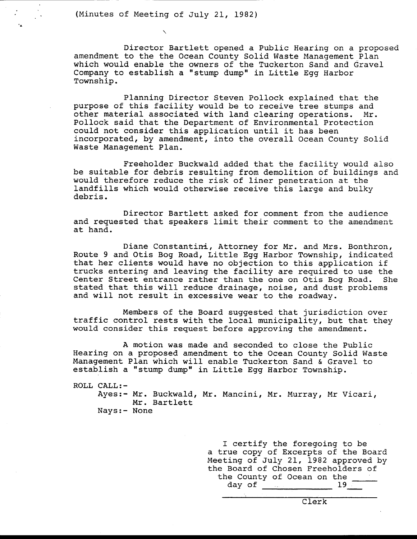(Minutes of Meeting of July 21, 1982)

Director Bartlett opened a Public Hearing on a proposed amendment to the the Ocean County Solid Waste Management Plan which would enable the owners of the Tuckerton Sand and Gravel Company to establish a "stump dump" in Little Egg Harbor Township.

Planning Director Steven Pollock explained that the<br>purpose of this facility would be to receive tree stumps and other material associated with land clearing operations. Mr.<br>Pollock said that the Department of Environmental Protection<br>could not consider this application until it has been incorporated, by amendment, into the overall Ocean County Solid Waste Management Plan.

Freeholder Buckwald added that the facility would also be suitable for debris resulting from demolition of buildings and would therefore reduce the risk of liner penetration at the<br>landfills which would otherwise receive this large and bulky debris.

Director Bartlett asked for comment from the audience and requested that speakers limit their comment to the amendment at hand.

Diane Constantini, Attorney for Mr. and Mrs. Bonthron,<br>Route 9 and Otis Bog Road, Little Egg Harbor Township, indicated that her clients would have no objection to this application if<br>trucks entering and leaving the facility are required to use the<br>Center Street entrance rather than the one on Otis Bog Road. She<br>stated that this will reduce and will not result in excessive wear to the roadway.

Members of the Board suggested that jurisdiction over traffic control rests with the local municipality, but that they would consider this request before approving the amendment.

A motion was made and seconded to close the Public Hearing on a proposed amendment to the Ocean County Solid Waste Management Plan which will enable Tuckerton Sand & Gravel to establish a "stump dump" in Little Egg Harbor Township.

ROLL CALL:-

Ayes:- Mr. Buckwald, Mr. Mancini, Mr. Murray, Mr Vicari, Mr. Bartlett Nays:- None

> I certify the foregoing to be a true copy of Excerpts of the Board<br>Meeting of July 21, 1982 approved by the Board of Chosen Freeholders of<br>the County of Ocean on the  $\frac{19}{\sqrt{19}}$

> > Clerk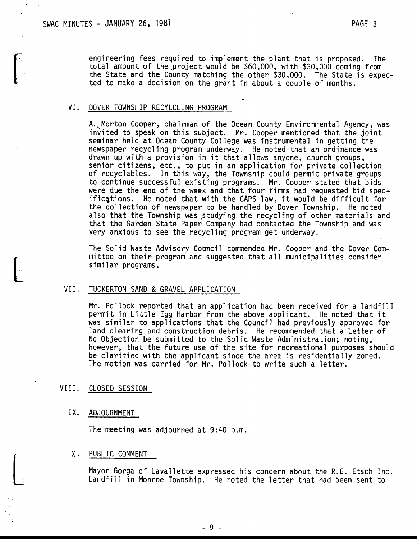engineering fees required to implement the plant that is proposed. The total amount of the project would be \$60,000, with \$30,000 coming from the State and the County matching the other \$30,000. The State is expected to make a decision on the grant in about a couple of months.

#### VI. DOVER TOWNSHIP RECYLCLING PROGRAM

A... Morton Cooper, chairman of the Ocean County Environmental Agency, was invited to speak on this subject. Mr. Cooper mentioned that the joint seminar held at 0cean County Col'lege was instrumental in gettfng the newspaper recycling program underway. He noted that an ordinance was drawn up with a provision in it that al'lows anyone, church groups, senior citizens, etc., to put in an application for private collection of recyclables. In this way, the Township could permit private groups to continue successful existing programs. Mr. Cooper stated that bids were due the end of the week and that four firms had requested bid spec-<br>ificqtions. He noted that with the CAPS law, it would be difficult for the collection of newspaper to be handled by Dover Township. He noted also that the Township was studying the recycling of other materials and that the Garden State Paper Company had contacted the Township and was very anxious to see the recycling program get underway.

The Solid Waste Advisory Council commended Mr. Cooper and the Dover Committee on their program and suggested that all municipalities consider simi'lar programs.

#### VII. TUCKERTON SAND & GRAVEL APPLICATION

Mr. Pollock reported that an application had been received for a landfill permit in Little Egg Harbor from the above applicant. He noted that it was similar to applications that the Council had previously approved for land clearing and construction debris. He recommended that a Letter of No Objection be submitted to the Solid Waste Administration; noting, however, that the future use of the site for recreational purposes shou'ld be clarified with the applicant since the area is residentially zoned. The motion was carried for Mr. Pollock to write such a letter.

#### VIII. CLOSED SESSION

# IX. ADJOURNMENT

The meeting was adjourned at 9:40 p.m.

#### X. PUBLIC COMMENT

Mayor Gorga of Lavallette expressed his concern about the R.E. Etsch Inc. Landfill in Monroe Townshfp. He noted the letter that had been sent to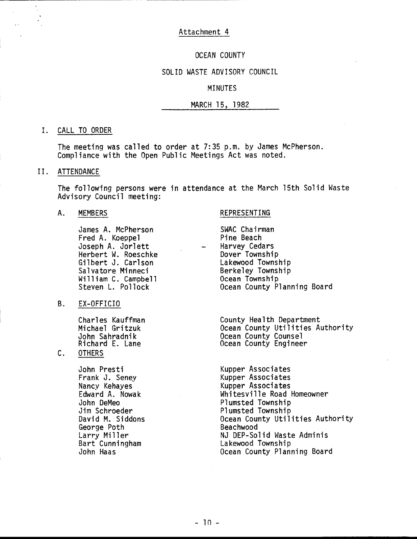### OCEAN COUNTY

# SOLID WASTE ADVISORY COUNCIL

# MINUTES

# MARCH 15, 1982

#### I. CALL TO ORDER

The meeting was called to order at  $7:35$  p.m. by James McPherson. Compliance with the Open Public Meetings Act was noted.

#### II. ATTENDANCE

The following persons were in attendance at the March 15th Solid Waste Advisory Council meeting:

#### A. MEMBERS REPRESENTING

James A. McPherson Fred A. Koeppel Joseph A. Jorlett Herbert W. Roeschke Gilbert J. Carlson Salvatore Minneci William C. Campbell Steven L. Pollock

#### B. EX-OFFICIO

Charl es Kauffman Michael Gritzuk John Sahradnik Richard E. Lane

## C. OTHERS

John Presti<br>Frank J. Seney The Kupper Associates Frank J. Seney<br>Nancy Kehayes George Poth<br>Larry Miller

SWAC Chairman Pine Beach Harvey Cedars Dover Township Lakewood Township Berkeley Township Ocean Township 0cean County Planning Board

County Health Department Ocean County Utilities Authority 0cean County Counsel 0cean County Engineer

Nancy Kehayes Kupper Associates Edward A. Nowak Mhitesville Road Homeowner<br>John DeMeo<br>Plumsted Township John DeMeo Plumsted Township Jim Schroeder **Band Communisted Township**<br>
David M. Siddons **Plumsted Township** Ocean County Utilities Authority<br>Beachwood Larry Miller<br>
Bart Cunningham<br>
Bart Cunningham<br>
Cakewood Township Bart Cunningham Lakewood Township Ocean County Planning Board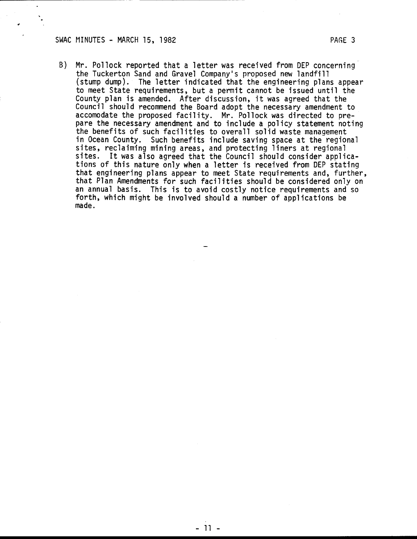#### SWAC MINUTES - MARCH 15, 1982 PAGE 3

B) Mr. Pollock reported that a letter was received from DEP concerning the Tuckerton Sand and Gravel Company's proposed new landfill (stump dump). The letter indicated that the engineering plans appear to meet State requirements, but a permit cannot be issued untjl the County plan is amended. After discussion, it was agreed that the Council should recommend the Board adopt the necessary amendment to accomodate the proposed facility. Mr. Po1lock was directed to prepare the necessary amendment and to include a policy statement noting the benefits of such facilities to overall solid waste management in Ocean County. Such benefits include saving space at the regional sites, reclaiming mining areas, and protecting liners at regiona'l sites. It was also agreed that the Council should consider applications of this nature only when a letter is received from DEP stating that engineering plans appear to meet State requirements and, further, that Plan Amendments for such facilities should be considered only on an annual basis. This is to avoid costly notice requirements and so forth, which might be involved should a number of applications be made.

-il